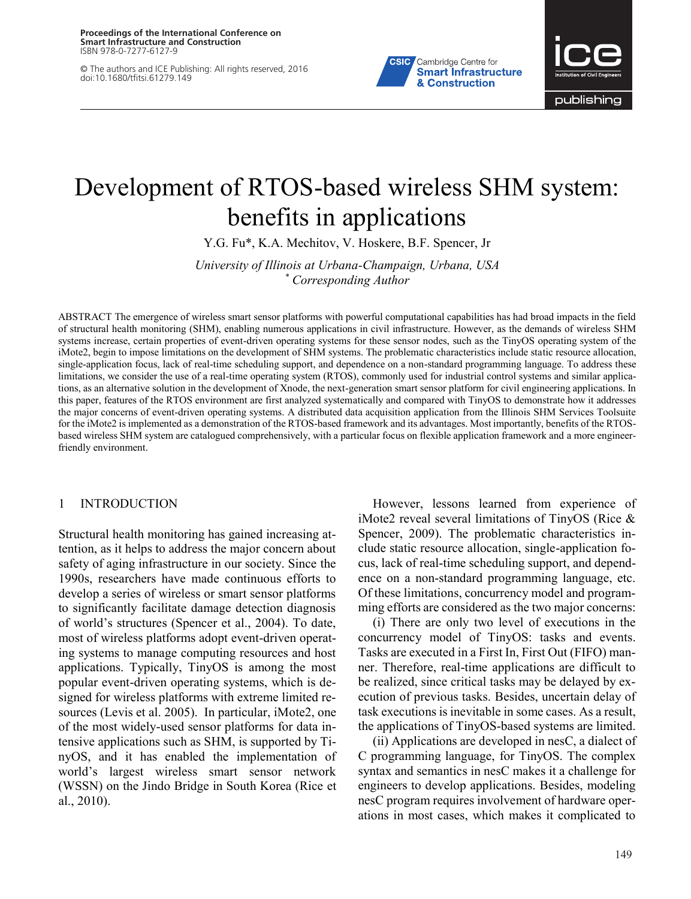**Proceedings of the International Conference on Smart Infrastructure and Construction** ISBN 978-0-7277-6127-9

© The authors and ICE Publishing: All rights reserved, 2016 doi:10.1680/tfitsi.61279.149





# Development of RTOS-based wireless SHM system: benefits in applications

Y.G. Fu\*, K.A. Mechitov, V. Hoskere, B.F. Spencer, Jr

*University of Illinois at Urbana-Champaign, Urbana, USA \* Corresponding Author*

ABSTRACT The emergence of wireless smart sensor platforms with powerful computational capabilities has had broad impacts in the field of structural health monitoring (SHM), enabling numerous applications in civil infrastructure. However, as the demands of wireless SHM systems increase, certain properties of event-driven operating systems for these sensor nodes, such as the TinyOS operating system of the iMote2, begin to impose limitations on the development of SHM systems. The problematic characteristics include static resource allocation, single-application focus, lack of real-time scheduling support, and dependence on a non-standard programming language. To address these limitations, we consider the use of a real-time operating system (RTOS), commonly used for industrial control systems and similar applications, as an alternative solution in the development of Xnode, the next-generation smart sensor platform for civil engineering applications. In this paper, features of the RTOS environment are first analyzed systematically and compared with TinyOS to demonstrate how it addresses the major concerns of event-driven operating systems. A distributed data acquisition application from the Illinois SHM Services Toolsuite for the iMote2 is implemented as a demonstration of the RTOS-based framework and its advantages. Most importantly, benefits of the RTOSbased wireless SHM system are catalogued comprehensively, with a particular focus on flexible application framework and a more engineerfriendly environment.

#### 1 INTRODUCTION

Structural health monitoring has gained increasing attention, as it helps to address the major concern about safety of aging infrastructure in our society. Since the 1990s, researchers have made continuous efforts to develop a series of wireless or smart sensor platforms to significantly facilitate damage detection diagnosis of world's structures (Spencer et al., 2004). To date, most of wireless platforms adopt event-driven operating systems to manage computing resources and host applications. Typically, TinyOS is among the most popular event-driven operating systems, which is designed for wireless platforms with extreme limited resources (Levis et al. 2005). In particular, iMote2, one of the most widely-used sensor platforms for data intensive applications such as SHM, is supported by TinyOS, and it has enabled the implementation of world's largest wireless smart sensor network (WSSN) on the Jindo Bridge in South Korea (Rice et al., 2010).

However, lessons learned from experience of iMote2 reveal several limitations of TinyOS (Rice & Spencer, 2009). The problematic characteristics include static resource allocation, single-application focus, lack of real-time scheduling support, and dependence on a non-standard programming language, etc. Of these limitations, concurrency model and programming efforts are considered as the two major concerns:

(i) There are only two level of executions in the concurrency model of TinyOS: tasks and events. Tasks are executed in a First In, First Out (FIFO) manner. Therefore, real-time applications are difficult to be realized, since critical tasks may be delayed by execution of previous tasks. Besides, uncertain delay of task executions is inevitable in some cases. As a result, the applications of TinyOS-based systems are limited.

(ii) Applications are developed in nesC, a dialect of C programming language, for TinyOS. The complex syntax and semantics in nesC makes it a challenge for engineers to develop applications. Besides, modeling nesC program requires involvement of hardware operations in most cases, which makes it complicated to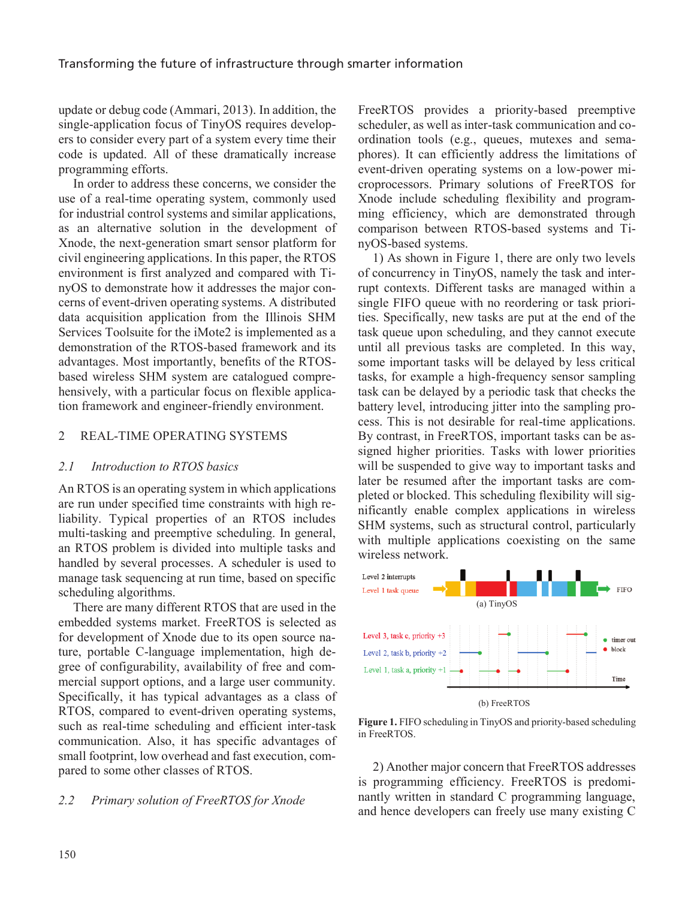update or debug code (Ammari, 2013). In addition, the single-application focus of TinyOS requires developers to consider every part of a system every time their code is updated. All of these dramatically increase programming efforts.

In order to address these concerns, we consider the use of a real-time operating system, commonly used for industrial control systems and similar applications, as an alternative solution in the development of Xnode, the next-generation smart sensor platform for civil engineering applications. In this paper, the RTOS environment is first analyzed and compared with TinyOS to demonstrate how it addresses the major concerns of event-driven operating systems. A distributed data acquisition application from the Illinois SHM Services Toolsuite for the iMote2 is implemented as a demonstration of the RTOS-based framework and its advantages. Most importantly, benefits of the RTOSbased wireless SHM system are catalogued comprehensively, with a particular focus on flexible application framework and engineer-friendly environment.

# 2 REAL-TIME OPERATING SYSTEMS

## *2.1 Introduction to RTOS basics*

An RTOS is an operating system in which applications are run under specified time constraints with high reliability. Typical properties of an RTOS includes multi-tasking and preemptive scheduling. In general, an RTOS problem is divided into multiple tasks and handled by several processes. A scheduler is used to manage task sequencing at run time, based on specific scheduling algorithms.

There are many different RTOS that are used in the embedded systems market. FreeRTOS is selected as for development of Xnode due to its open source nature, portable C-language implementation, high degree of configurability, availability of free and commercial support options, and a large user community. Specifically, it has typical advantages as a class of RTOS, compared to event-driven operating systems, such as real-time scheduling and efficient inter-task communication. Also, it has specific advantages of small footprint, low overhead and fast execution, compared to some other classes of RTOS.

## *2.2 Primary solution of FreeRTOS for Xnode*

FreeRTOS provides a priority-based preemptive scheduler, as well as inter-task communication and coordination tools (e.g., queues, mutexes and semaphores). It can efficiently address the limitations of event-driven operating systems on a low-power microprocessors. Primary solutions of FreeRTOS for Xnode include scheduling flexibility and programming efficiency, which are demonstrated through comparison between RTOS-based systems and TinyOS-based systems.

1) As shown in Figure 1, there are only two levels of concurrency in TinyOS, namely the task and interrupt contexts. Different tasks are managed within a single FIFO queue with no reordering or task priorities. Specifically, new tasks are put at the end of the task queue upon scheduling, and they cannot execute until all previous tasks are completed. In this way, some important tasks will be delayed by less critical tasks, for example a high-frequency sensor sampling task can be delayed by a periodic task that checks the battery level, introducing jitter into the sampling process. This is not desirable for real-time applications. By contrast, in FreeRTOS, important tasks can be assigned higher priorities. Tasks with lower priorities will be suspended to give way to important tasks and later be resumed after the important tasks are completed or blocked. This scheduling flexibility will significantly enable complex applications in wireless SHM systems, such as structural control, particularly with multiple applications coexisting on the same wireless network.



**Figure 1.** FIFO scheduling in TinyOS and priority-based scheduling in FreeRTOS.

2) Another major concern that FreeRTOS addresses is programming efficiency. FreeRTOS is predominantly written in standard C programming language, and hence developers can freely use many existing C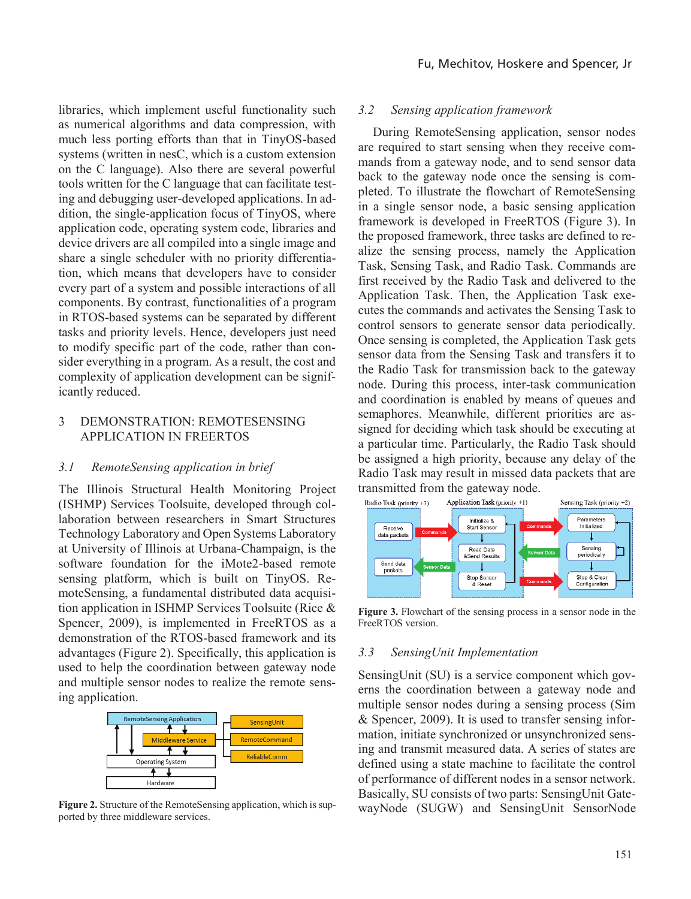libraries, which implement useful functionality such as numerical algorithms and data compression, with much less porting efforts than that in TinyOS-based systems (written in nesC, which is a custom extension on the C language). Also there are several powerful tools written for the C language that can facilitate testing and debugging user-developed applications. In addition, the single-application focus of TinyOS, where application code, operating system code, libraries and device drivers are all compiled into a single image and share a single scheduler with no priority differentiation, which means that developers have to consider every part of a system and possible interactions of all components. By contrast, functionalities of a program in RTOS-based systems can be separated by different tasks and priority levels. Hence, developers just need to modify specific part of the code, rather than consider everything in a program. As a result, the cost and complexity of application development can be significantly reduced.

## 3 DEMONSTRATION: REMOTESENSING APPLICATION IN FREERTOS

#### *3.1 RemoteSensing application in brief*

The Illinois Structural Health Monitoring Project (ISHMP) Services Toolsuite, developed through collaboration between researchers in Smart Structures Technology Laboratory and Open Systems Laboratory at University of Illinois at Urbana-Champaign, is the software foundation for the iMote2-based remote sensing platform, which is built on TinyOS. RemoteSensing, a fundamental distributed data acquisition application in ISHMP Services Toolsuite (Rice & Spencer, 2009), is implemented in FreeRTOS as a demonstration of the RTOS-based framework and its advantages (Figure 2). Specifically, this application is used to help the coordination between gateway node and multiple sensor nodes to realize the remote sensing application.



**Figure 2.** Structure of the RemoteSensing application, which is supported by three middleware services.

#### *3.2 Sensing application framework*

During RemoteSensing application, sensor nodes are required to start sensing when they receive commands from a gateway node, and to send sensor data back to the gateway node once the sensing is completed. To illustrate the flowchart of RemoteSensing in a single sensor node, a basic sensing application framework is developed in FreeRTOS (Figure 3). In the proposed framework, three tasks are defined to realize the sensing process, namely the Application Task, Sensing Task, and Radio Task. Commands are first received by the Radio Task and delivered to the Application Task. Then, the Application Task executes the commands and activates the Sensing Task to control sensors to generate sensor data periodically. Once sensing is completed, the Application Task gets sensor data from the Sensing Task and transfers it to the Radio Task for transmission back to the gateway node. During this process, inter-task communication and coordination is enabled by means of queues and semaphores. Meanwhile, different priorities are assigned for deciding which task should be executing at a particular time. Particularly, the Radio Task should be assigned a high priority, because any delay of the Radio Task may result in missed data packets that are transmitted from the gateway node.



**Figure 3.** Flowchart of the sensing process in a sensor node in the FreeRTOS version.

#### *3.3 SensingUnit Implementation*

SensingUnit (SU) is a service component which governs the coordination between a gateway node and multiple sensor nodes during a sensing process (Sim & Spencer, 2009). It is used to transfer sensing information, initiate synchronized or unsynchronized sensing and transmit measured data. A series of states are defined using a state machine to facilitate the control of performance of different nodes in a sensor network. Basically, SU consists of two parts: SensingUnit GatewayNode (SUGW) and SensingUnit SensorNode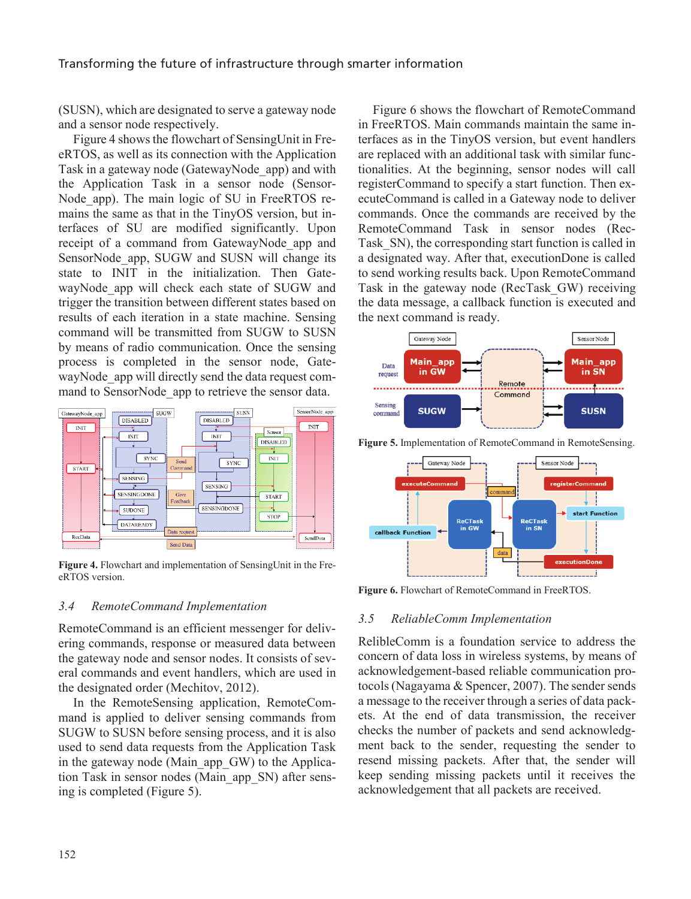## Transforming the future of infrastructure through smarter information

(SUSN), which are designated to serve a gateway node and a sensor node respectively.

Figure 4 shows the flowchart of SensingUnit in FreeRTOS, as well as its connection with the Application Task in a gateway node (GatewayNode\_app) and with the Application Task in a sensor node (Sensor-Node app). The main logic of SU in FreeRTOS remains the same as that in the TinyOS version, but interfaces of SU are modified significantly. Upon receipt of a command from GatewayNode\_app and SensorNode app, SUGW and SUSN will change its state to INIT in the initialization. Then GatewayNode app will check each state of SUGW and trigger the transition between different states based on results of each iteration in a state machine. Sensing command will be transmitted from SUGW to SUSN by means of radio communication. Once the sensing process is completed in the sensor node, GatewayNode app will directly send the data request command to SensorNode app to retrieve the sensor data.



**Figure 4.** Flowchart and implementation of SensingUnit in the FreeRTOS version.

## *3.4 RemoteCommand Implementation*

RemoteCommand is an efficient messenger for delivering commands, response or measured data between the gateway node and sensor nodes. It consists of several commands and event handlers, which are used in the designated order (Mechitov, 2012).

In the RemoteSensing application, RemoteCommand is applied to deliver sensing commands from SUGW to SUSN before sensing process, and it is also used to send data requests from the Application Task in the gateway node (Main\_app\_GW) to the Application Task in sensor nodes (Main\_app\_SN) after sensing is completed (Figure 5).

Figure 6 shows the flowchart of RemoteCommand in FreeRTOS. Main commands maintain the same interfaces as in the TinyOS version, but event handlers are replaced with an additional task with similar functionalities. At the beginning, sensor nodes will call registerCommand to specify a start function. Then executeCommand is called in a Gateway node to deliver commands. Once the commands are received by the RemoteCommand Task in sensor nodes (Rec-Task SN), the corresponding start function is called in a designated way. After that, executionDone is called to send working results back. Upon RemoteCommand Task in the gateway node (RecTask\_GW) receiving the data message, a callback function is executed and the next command is ready.



**Figure 5.** Implementation of RemoteCommand in RemoteSensing.



**Figure 6.** Flowchart of RemoteCommand in FreeRTOS.

## *3.5 ReliableComm Implementation*

RelibleComm is a foundation service to address the concern of data loss in wireless systems, by means of acknowledgement-based reliable communication protocols (Nagayama & Spencer, 2007). The sender sends a message to the receiver through a series of data packets. At the end of data transmission, the receiver checks the number of packets and send acknowledgment back to the sender, requesting the sender to resend missing packets. After that, the sender will keep sending missing packets until it receives the acknowledgement that all packets are received.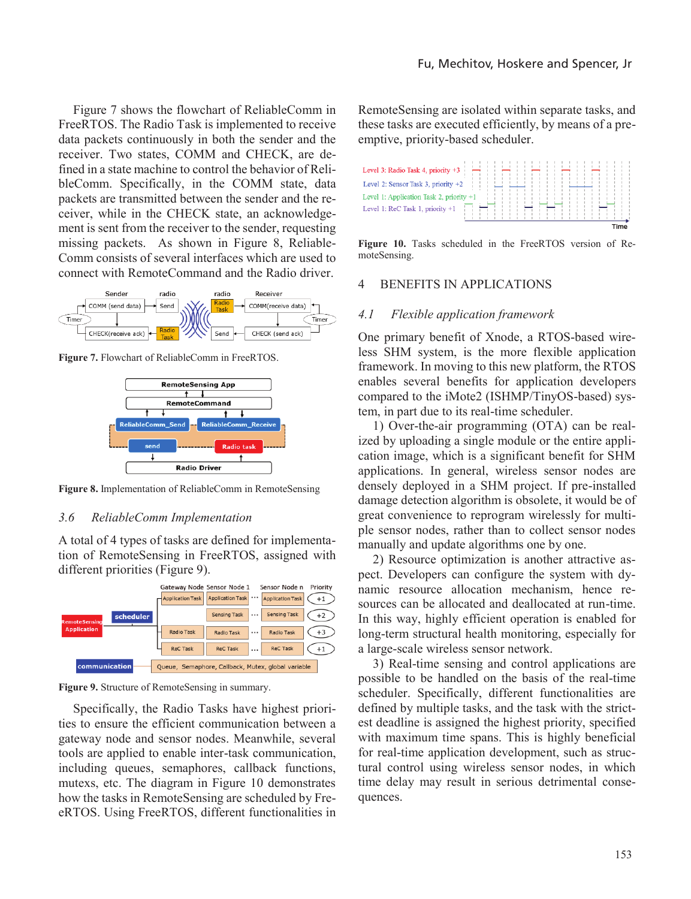Figure 7 shows the flowchart of ReliableComm in FreeRTOS. The Radio Task is implemented to receive data packets continuously in both the sender and the receiver. Two states, COMM and CHECK, are defined in a state machine to control the behavior of RelibleComm. Specifically, in the COMM state, data packets are transmitted between the sender and the receiver, while in the CHECK state, an acknowledgement is sent from the receiver to the sender, requesting missing packets. As shown in Figure 8, Reliable-Comm consists of several interfaces which are used to connect with RemoteCommand and the Radio driver.



**Figure 7.** Flowchart of ReliableComm in FreeRTOS.



**Figure 8.** Implementation of ReliableComm in RemoteSensing

#### *3.6 ReliableComm Implementation*

A total of 4 types of tasks are defined for implementation of RemoteSensing in FreeRTOS, assigned with different priorities (Figure 9).



**Figure 9.** Structure of RemoteSensing in summary.

Specifically, the Radio Tasks have highest priorities to ensure the efficient communication between a gateway node and sensor nodes. Meanwhile, several tools are applied to enable inter-task communication, including queues, semaphores, callback functions, mutexs, etc. The diagram in Figure 10 demonstrates how the tasks in RemoteSensing are scheduled by FreeRTOS. Using FreeRTOS, different functionalities in RemoteSensing are isolated within separate tasks, and these tasks are executed efficiently, by means of a preemptive, priority-based scheduler.



**Figure 10.** Tasks scheduled in the FreeRTOS version of RemoteSensing.

#### 4 BENEFITS IN APPLICATIONS

#### *4.1 Flexible application framework*

One primary benefit of Xnode, a RTOS-based wireless SHM system, is the more flexible application framework. In moving to this new platform, the RTOS enables several benefits for application developers compared to the iMote2 (ISHMP/TinyOS-based) system, in part due to its real-time scheduler.

1) Over-the-air programming (OTA) can be realized by uploading a single module or the entire application image, which is a significant benefit for SHM applications. In general, wireless sensor nodes are densely deployed in a SHM project. If pre-installed damage detection algorithm is obsolete, it would be of great convenience to reprogram wirelessly for multiple sensor nodes, rather than to collect sensor nodes manually and update algorithms one by one.

2) Resource optimization is another attractive aspect. Developers can configure the system with dynamic resource allocation mechanism, hence resources can be allocated and deallocated at run-time. In this way, highly efficient operation is enabled for long-term structural health monitoring, especially for a large-scale wireless sensor network.

3) Real-time sensing and control applications are possible to be handled on the basis of the real-time scheduler. Specifically, different functionalities are defined by multiple tasks, and the task with the strictest deadline is assigned the highest priority, specified with maximum time spans. This is highly beneficial for real-time application development, such as structural control using wireless sensor nodes, in which time delay may result in serious detrimental consequences.